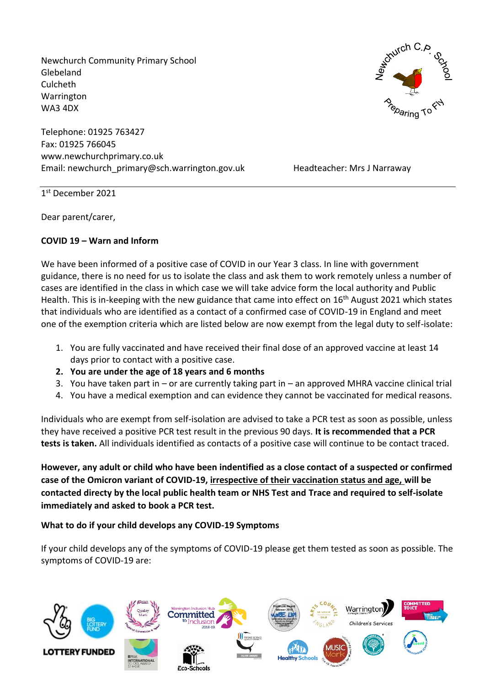Newchurch Community Primary School Glebeland Culcheth Warrington WA3 4DX

Telephone: 01925 763427 Fax: 01925 766045 www.newchurchprimary.co.uk Email: newchurch\_primary@sch.warrington.gov.uk Headteacher: Mrs J Narraway



1 st December 2021

Dear parent/carer,

### **COVID 19 – Warn and Inform**

We have been informed of a positive case of COVID in our Year 3 class. In line with government guidance, there is no need for us to isolate the class and ask them to work remotely unless a number of cases are identified in the class in which case we will take advice form the local authority and Public Health. This is in-keeping with the new guidance that came into effect on 16<sup>th</sup> August 2021 which states that individuals who are identified as a contact of a confirmed case of COVID-19 in England and meet one of the exemption criteria which are listed below are now exempt from the legal duty to self-isolate:

- 1. You are fully vaccinated and have received their final dose of an approved vaccine at least 14 days prior to contact with a positive case.
- **2. You are under the age of 18 years and 6 months**
- 3. You have taken part in or are currently taking part in an approved MHRA vaccine clinical trial
- 4. You have a medical exemption and can evidence they cannot be vaccinated for medical reasons.

Individuals who are exempt from self-isolation are advised to take a PCR test as soon as possible, unless they have received a positive PCR test result in the previous 90 days. **It is recommended that a PCR tests is taken.** All individuals identified as contacts of a positive case will continue to be contact traced.

**However, any adult or child who have been indentified as a close contact of a suspected or confirmed case of the Omicron variant of COVID-19, irrespective of their vaccination status and age, will be contacted directy by the local public health team or NHS Test and Trace and required to self-isolate immediately and asked to book a PCR test.**

## **What to do if your child develops any COVID-19 Symptoms**

If your child develops any of the symptoms of COVID-19 please get them tested as soon as possible. The symptoms of COVID-19 are:

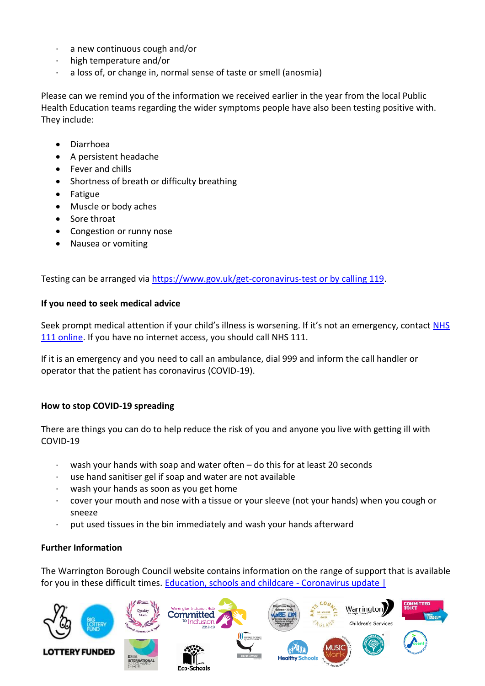- a new continuous cough and/or
- · high temperature and/or
- a loss of, or change in, normal sense of taste or smell (anosmia)

Please can we remind you of the information we received earlier in the year from the local Public Health Education teams regarding the wider symptoms people have also been testing positive with. They include:

- Diarrhoea
- A persistent headache
- Fever and chills
- Shortness of breath or difficulty breathing
- Fatigue
- Muscle or body aches
- Sore throat
- Congestion or runny nose
- Nausea or vomiting

Testing can be arranged via [https://www.gov.uk/get-coronavirus-test or by calling 119.](https://www.gov.uk/get-coronavirus-test%20or%20by%20calling%20119)

#### **If you need to seek medical advice**

Seek prompt medical attention if your child's illness is worsening. If it's not an emergency, contact NHS [111 online.](https://111.nhs.uk/) If you have no internet access, you should call NHS 111.

If it is an emergency and you need to call an ambulance, dial 999 and inform the call handler or operator that the patient has coronavirus (COVID-19).

#### **How to stop COVID-19 spreading**

There are things you can do to help reduce the risk of you and anyone you live with getting ill with COVID-19

- wash your hands with soap and water often do this for at least 20 seconds
- use hand sanitiser gel if soap and water are not available
- wash your hands as soon as you get home
- · cover your mouth and nose with a tissue or your sleeve (not your hands) when you cough or sneeze
- put used tissues in the bin immediately and wash your hands afterward

#### **Further Information**

The Warrington Borough Council website contains information on the range of support that is available for you in these difficult times. [Education, schools and childcare -](https://www.warrington.gov.uk/education-schools-and-childcare-coronavirus-update) Coronavirus update |